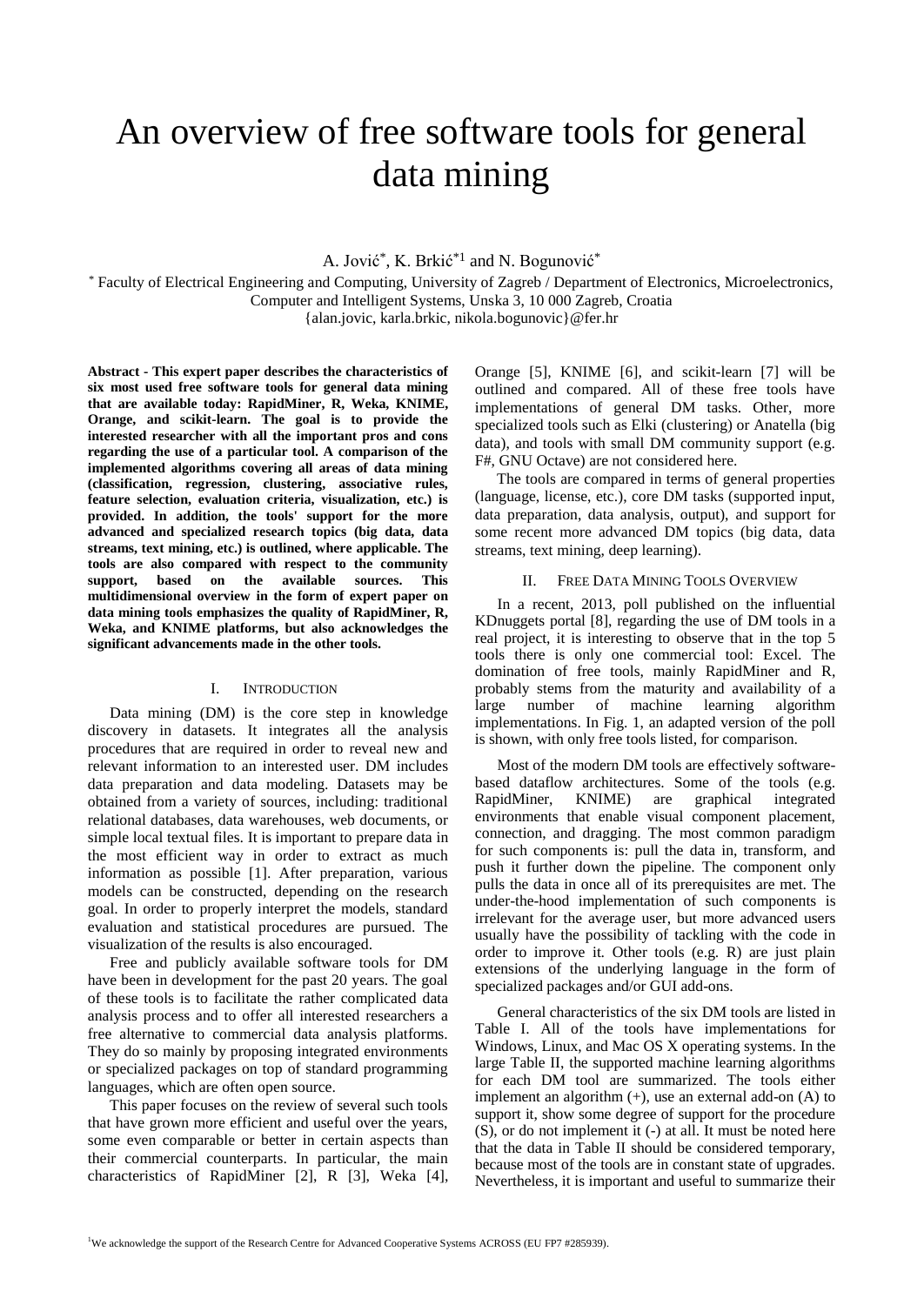# An overview of free software tools for general data mining

A. Jović\*, K. Brkić\*1 and N. Bogunović\*

\* Faculty of Electrical Engineering and Computing, University of Zagreb / Department of Electronics, Microelectronics, Computer and Intelligent Systems, Unska 3, 10 000 Zagreb, Croatia {alan.jovic, karla.brkic, nikola.bogunovic}@fer.hr

**Abstract - This expert paper describes the characteristics of six most used free software tools for general data mining that are available today: RapidMiner, R, Weka, KNIME, Orange, and scikit-learn. The goal is to provide the interested researcher with all the important pros and cons regarding the use of a particular tool. A comparison of the implemented algorithms covering all areas of data mining (classification, regression, clustering, associative rules, feature selection, evaluation criteria, visualization, etc.) is provided. In addition, the tools' support for the more advanced and specialized research topics (big data, data streams, text mining, etc.) is outlined, where applicable. The tools are also compared with respect to the community support, based on the available sources. This multidimensional overview in the form of expert paper on data mining tools emphasizes the quality of RapidMiner, R, Weka, and KNIME platforms, but also acknowledges the significant advancements made in the other tools.** 

## I. INTRODUCTION

Data mining (DM) is the core step in knowledge discovery in datasets. It integrates all the analysis procedures that are required in order to reveal new and relevant information to an interested user. DM includes data preparation and data modeling. Datasets may be obtained from a variety of sources, including: traditional relational databases, data warehouses, web documents, or simple local textual files. It is important to prepare data in the most efficient way in order to extract as much information as possible [1]. After preparation, various models can be constructed, depending on the research goal. In order to properly interpret the models, standard evaluation and statistical procedures are pursued. The visualization of the results is also encouraged.

Free and publicly available software tools for DM have been in development for the past 20 years. The goal of these tools is to facilitate the rather complicated data analysis process and to offer all interested researchers a free alternative to commercial data analysis platforms. They do so mainly by proposing integrated environments or specialized packages on top of standard programming languages, which are often open source.

This paper focuses on the review of several such tools that have grown more efficient and useful over the years, some even comparable or better in certain aspects than their commercial counterparts. In particular, the main characteristics of RapidMiner [2], R [3], Weka [4], Orange [5], KNIME [6], and scikit-learn [7] will be outlined and compared. All of these free tools have implementations of general DM tasks. Other, more specialized tools such as Elki (clustering) or Anatella (big data), and tools with small DM community support (e.g. F#, GNU Octave) are not considered here.

The tools are compared in terms of general properties (language, license, etc.), core DM tasks (supported input, data preparation, data analysis, output), and support for some recent more advanced DM topics (big data, data streams, text mining, deep learning).

# II. FREE DATA MINING TOOLS OVERVIEW

In a recent, 2013, poll published on the influential KDnuggets portal [8], regarding the use of DM tools in a real project, it is interesting to observe that in the top 5 tools there is only one commercial tool: Excel. The domination of free tools, mainly RapidMiner and R, probably stems from the maturity and availability of a large number of machine learning algorithm implementations. In Fig. 1, an adapted version of the poll is shown, with only free tools listed, for comparison.

Most of the modern DM tools are effectively softwarebased dataflow architectures. Some of the tools (e.g. RapidMiner, KNIME) are graphical integrated environments that enable visual component placement, connection, and dragging. The most common paradigm for such components is: pull the data in, transform, and push it further down the pipeline. The component only pulls the data in once all of its prerequisites are met. The under-the-hood implementation of such components is irrelevant for the average user, but more advanced users usually have the possibility of tackling with the code in order to improve it. Other tools (e.g. R) are just plain extensions of the underlying language in the form of specialized packages and/or GUI add-ons.

General characteristics of the six DM tools are listed in Table I. All of the tools have implementations for Windows, Linux, and Mac OS X operating systems. In the large Table II, the supported machine learning algorithms for each DM tool are summarized. The tools either implement an algorithm  $(+)$ , use an external add-on  $(A)$  to support it, show some degree of support for the procedure (S), or do not implement it (-) at all. It must be noted here that the data in Table II should be considered temporary, because most of the tools are in constant state of upgrades. Nevertheless, it is important and useful to summarize their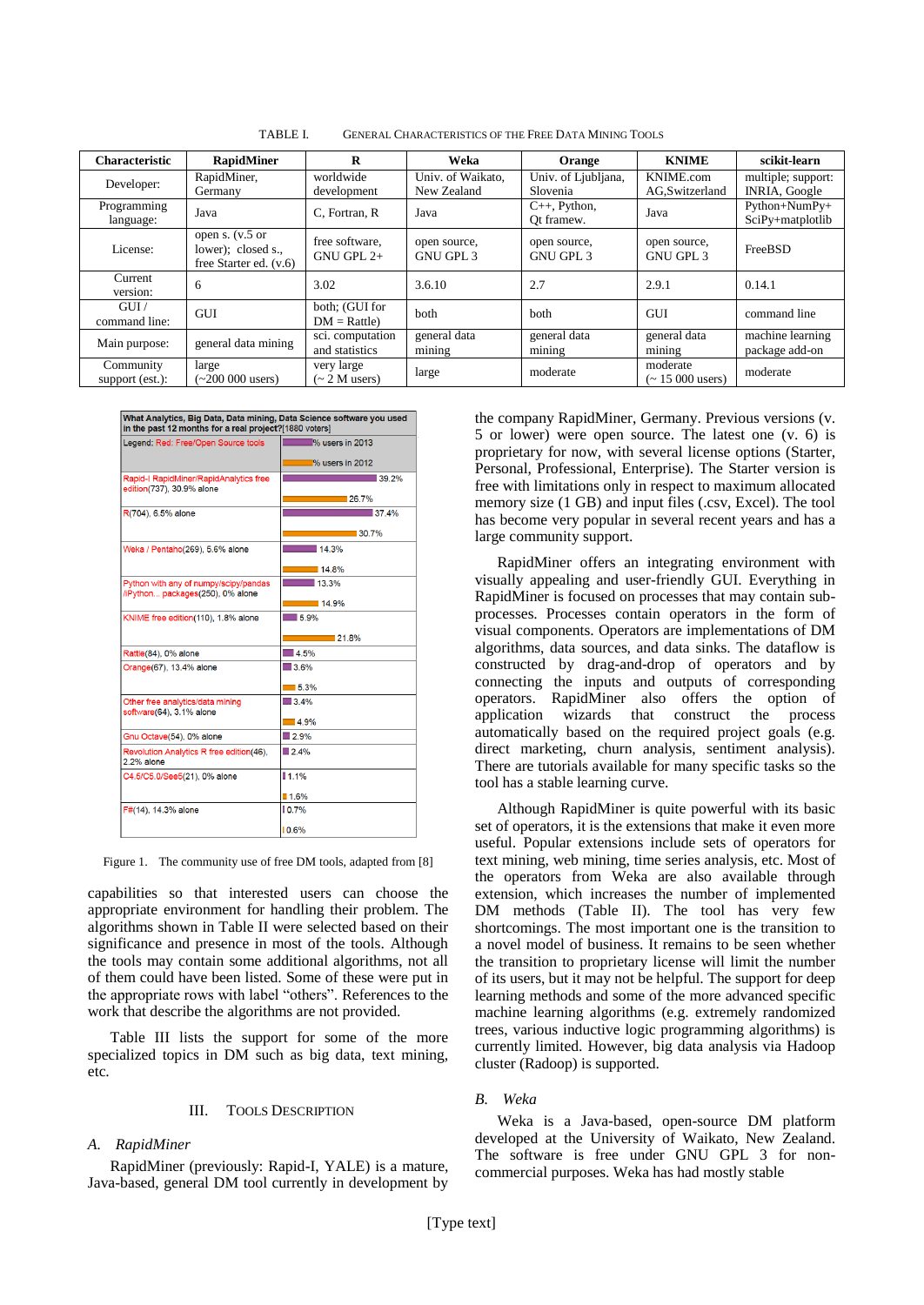| <b>Characteristic</b>        | <b>RapidMiner</b>                                                    | R                                          | Weka                             | Orange                          | <b>KNIME</b>                     | scikit-learn                       |
|------------------------------|----------------------------------------------------------------------|--------------------------------------------|----------------------------------|---------------------------------|----------------------------------|------------------------------------|
| Developer:                   | RapidMiner,                                                          | worldwide                                  | Univ. of Waikato,                | Univ. of Ljubljana,             | KNIME.com                        | multiple; support:                 |
|                              | Germany                                                              | development                                | New Zealand                      | Slovenia                        | AG,Switzerland                   | INRIA, Google                      |
| Programming<br>language:     | Java                                                                 | C, Fortran, R                              | Java                             | $C_{++}$ , Python,              |                                  | Python+NumPy+                      |
|                              |                                                                      |                                            |                                  | Ot framew.                      | Java                             | SciPy+matplotlib                   |
| License:                     | open s. $(v.5)$ or<br>lower); closed s.,<br>free Starter ed. $(v.6)$ | free software.<br>$GNU$ GPL 2+             | open source,<br><b>GNU GPL 3</b> | open source,<br><b>GNU GPL3</b> | open source,<br><b>GNU GPL 3</b> | FreeBSD                            |
| Current<br>version:          | 6                                                                    | 3.02                                       | 3.6.10                           | 2.7                             | 2.9.1                            | 0.14.1                             |
| GUI/                         | GUI                                                                  | both; (GUI for                             | both                             | <b>b</b> oth                    | <b>GUI</b>                       | command line                       |
| command line:                |                                                                      | $DM = Rattle$                              |                                  |                                 |                                  |                                    |
| Main purpose:                | general data mining                                                  | sci. computation<br>and statistics         | general data<br>mining           | general data<br>mining          | general data<br>mining           | machine learning<br>package add-on |
| Community<br>support (est.): | large<br>$(-200\,000$ users)                                         | very large<br>$({\sim} 2 \text{ M}$ users) | large                            | moderate                        | moderate<br>$(-15000$ users)     | moderate                           |

TABLE I. GENERAL CHARACTERISTICS OF THE FREE DATA MINING TOOLS



Figure 1. The community use of free DM tools, adapted from [8]

capabilities so that interested users can choose the appropriate environment for handling their problem. The algorithms shown in Table II were selected based on their significance and presence in most of the tools. Although the tools may contain some additional algorithms, not all of them could have been listed. Some of these were put in the appropriate rows with label "others". References to the work that describe the algorithms are not provided.

Table III lists the support for some of the more specialized topics in DM such as big data, text mining, etc.

# III. TOOLS DESCRIPTION

# *A. RapidMiner*

RapidMiner (previously: Rapid-I, YALE) is a mature, Java-based, general DM tool currently in development by the company RapidMiner, Germany. Previous versions (v. 5 or lower) were open source. The latest one (v. 6) is proprietary for now, with several license options (Starter, Personal, Professional, Enterprise). The Starter version is free with limitations only in respect to maximum allocated memory size (1 GB) and input files (.csv, Excel). The tool has become very popular in several recent years and has a large community support.

RapidMiner offers an integrating environment with visually appealing and user-friendly GUI. Everything in RapidMiner is focused on processes that may contain subprocesses. Processes contain operators in the form of visual components. Operators are implementations of DM algorithms, data sources, and data sinks. The dataflow is constructed by drag-and-drop of operators and by connecting the inputs and outputs of corresponding operators. RapidMiner also offers the option of application wizards that construct the process automatically based on the required project goals (e.g. direct marketing, churn analysis, sentiment analysis). There are tutorials available for many specific tasks so the tool has a stable learning curve.

Although RapidMiner is quite powerful with its basic set of operators, it is the extensions that make it even more useful. Popular extensions include sets of operators for text mining, web mining, time series analysis, etc. Most of the operators from Weka are also available through extension, which increases the number of implemented DM methods (Table II). The tool has very few shortcomings. The most important one is the transition to a novel model of business. It remains to be seen whether the transition to proprietary license will limit the number of its users, but it may not be helpful. The support for deep learning methods and some of the more advanced specific machine learning algorithms (e.g. extremely randomized trees, various inductive logic programming algorithms) is currently limited. However, big data analysis via Hadoop cluster (Radoop) is supported.

#### *B. Weka*

Weka is a Java-based, open-source DM platform developed at the University of Waikato, New Zealand. The software is free under GNU GPL 3 for noncommercial purposes. Weka has had mostly stable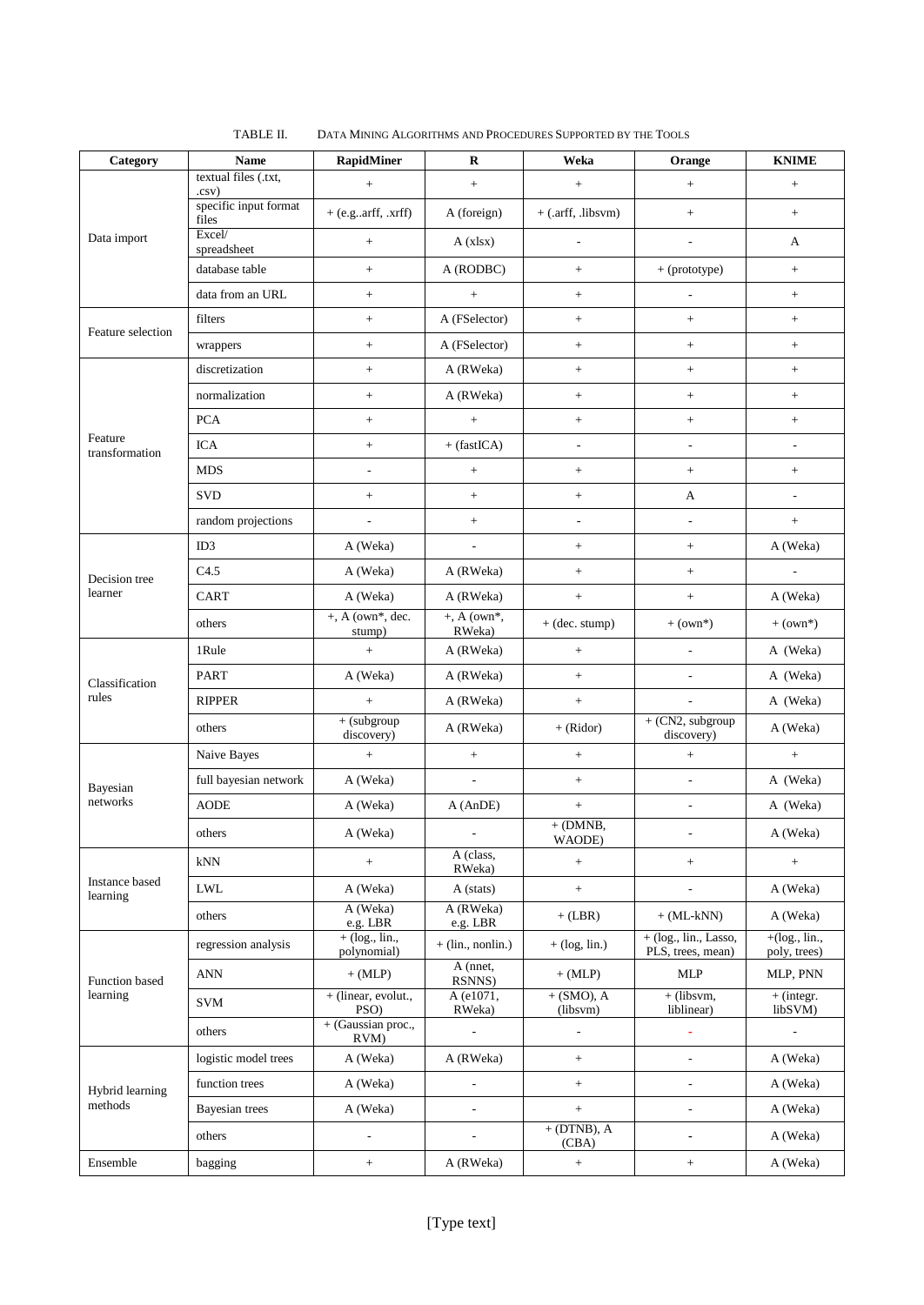| Category                   | <b>Name</b>                    | <b>RapidMiner</b>              | $\bf{R}$                                                                                                                                                                                                                                                                                                                                                                                                                                                                                                                                                                                                                                                                                                                                                                                                                                                                                                                                                                                                                                                                                                                                                                                                                                                                                                                                                                                | Weka                     | Orange                                       | <b>KNIME</b>                    |
|----------------------------|--------------------------------|--------------------------------|-----------------------------------------------------------------------------------------------------------------------------------------------------------------------------------------------------------------------------------------------------------------------------------------------------------------------------------------------------------------------------------------------------------------------------------------------------------------------------------------------------------------------------------------------------------------------------------------------------------------------------------------------------------------------------------------------------------------------------------------------------------------------------------------------------------------------------------------------------------------------------------------------------------------------------------------------------------------------------------------------------------------------------------------------------------------------------------------------------------------------------------------------------------------------------------------------------------------------------------------------------------------------------------------------------------------------------------------------------------------------------------------|--------------------------|----------------------------------------------|---------------------------------|
| Data import                | textual files (.txt,<br>(csv)  | $\pm$                          | $\boldsymbol{+}$                                                                                                                                                                                                                                                                                                                                                                                                                                                                                                                                                                                                                                                                                                                                                                                                                                                                                                                                                                                                                                                                                                                                                                                                                                                                                                                                                                        | $\boldsymbol{+}$         | $\ddot{}$                                    | $\boldsymbol{+}$                |
|                            | specific input format<br>files | $+$ (e.g. arff, .xrff)         | A (foreign)                                                                                                                                                                                                                                                                                                                                                                                                                                                                                                                                                                                                                                                                                                                                                                                                                                                                                                                                                                                                                                                                                                                                                                                                                                                                                                                                                                             | $+$ (.arff, .libsvm)     | $+$                                          | $+$                             |
|                            | Excel/<br>spreadsheet          | $\boldsymbol{+}$               | A(x sx)                                                                                                                                                                                                                                                                                                                                                                                                                                                                                                                                                                                                                                                                                                                                                                                                                                                                                                                                                                                                                                                                                                                                                                                                                                                                                                                                                                                 | $\overline{\phantom{a}}$ | $\overline{\phantom{a}}$                     | A                               |
|                            | database table                 | $+$                            | A (RODBC)                                                                                                                                                                                                                                                                                                                                                                                                                                                                                                                                                                                                                                                                                                                                                                                                                                                                                                                                                                                                                                                                                                                                                                                                                                                                                                                                                                               | $+$                      | $+$ (prototype)                              | $+$                             |
|                            | data from an URL               | $\! +$                         | $\boldsymbol{+}$                                                                                                                                                                                                                                                                                                                                                                                                                                                                                                                                                                                                                                                                                                                                                                                                                                                                                                                                                                                                                                                                                                                                                                                                                                                                                                                                                                        | $\qquad \qquad +$        |                                              | $\qquad \qquad +$               |
| Feature selection          | filters                        | $\! +$                         | A (FSelector)                                                                                                                                                                                                                                                                                                                                                                                                                                                                                                                                                                                                                                                                                                                                                                                                                                                                                                                                                                                                                                                                                                                                                                                                                                                                                                                                                                           | $+$                      | $^+$                                         | $\qquad \qquad +$               |
|                            | wrappers                       | $^{+}$                         | A (FSelector)<br>$+$<br>$+$<br>A (RWeka)<br>$^{+}$<br>$\boldsymbol{+}$<br>$+$<br>A (RWeka)<br>$\! +$<br>$+$<br>$\! +$<br>$\boldsymbol{+}$<br>$\! +$<br>$+$<br>$\boldsymbol{+}$<br>$+$ (fastICA)<br>$\! +$<br>$\overline{a}$<br>$\overline{\phantom{a}}$<br>$^{+}$<br>$+$<br>÷,<br>$+$<br>A<br>$\boldsymbol{+}$<br>$+$<br>$\boldsymbol{+}$<br>÷,<br>$\overline{\phantom{a}}$<br>$\overline{a}$<br>$+$<br>$+$<br>$\frac{1}{2}$<br>A (RWeka)<br>$+$<br>$+$<br>A (RWeka)<br>$+$<br>$+$<br>$+, A (own*,$<br>$+$ (dec. stump)<br>$+$ (own*)<br>RWeka)<br>$\pm$<br>A (RWeka)<br>$\! +$<br>$\overline{\phantom{a}}$<br>A (RWeka)<br>$+$<br>$\overline{\phantom{a}}$<br>A (RWeka)<br>$\! +$<br>$\boldsymbol{+}$<br>$\overline{\phantom{a}}$<br>A (RWeka)<br>$+$ (Ridor)<br>discovery)<br>$\boldsymbol{+}$<br>$\boldsymbol{+}$<br>$\! +$<br>$\boldsymbol{+}$<br>$+$<br>$\overline{\phantom{a}}$<br>A (AnDE)<br>$\! +$<br>$\overline{\phantom{a}}$<br>$+$ (DMNB,<br>$\overline{a}$<br>WAODE)<br>A (class,<br>$+$<br>$\! + \!\!\!\!$<br>$+$<br>RWeka)<br>A (stats)<br>$\boldsymbol{+}$<br>$\overline{\phantom{a}}$<br>A (RWeka)<br>$+$ (LBR)<br>e.g. LBR<br>$+$ (lin., nonlin.)<br>$+(log, lin.)$<br>A (nnet,<br><b>MLP</b><br>$+$ (MLP)<br>RSNNS)<br>A (e1071,<br>$+$ (SMO), A<br>$+$ (libsvm,<br>RWeka)<br>(libsvm)<br>liblinear)<br>$\overline{\phantom{a}}$<br>$\blacksquare$<br>$\blacksquare$ |                          | $\qquad \qquad +$                            |                                 |
|                            | discretization                 |                                |                                                                                                                                                                                                                                                                                                                                                                                                                                                                                                                                                                                                                                                                                                                                                                                                                                                                                                                                                                                                                                                                                                                                                                                                                                                                                                                                                                                         |                          |                                              | $+$                             |
|                            | normalization                  |                                |                                                                                                                                                                                                                                                                                                                                                                                                                                                                                                                                                                                                                                                                                                                                                                                                                                                                                                                                                                                                                                                                                                                                                                                                                                                                                                                                                                                         |                          |                                              | $+$                             |
|                            | <b>PCA</b>                     |                                |                                                                                                                                                                                                                                                                                                                                                                                                                                                                                                                                                                                                                                                                                                                                                                                                                                                                                                                                                                                                                                                                                                                                                                                                                                                                                                                                                                                         |                          |                                              | $^+$                            |
| Feature<br>transformation  | <b>ICA</b>                     |                                |                                                                                                                                                                                                                                                                                                                                                                                                                                                                                                                                                                                                                                                                                                                                                                                                                                                                                                                                                                                                                                                                                                                                                                                                                                                                                                                                                                                         |                          |                                              | L.                              |
|                            | <b>MDS</b>                     |                                |                                                                                                                                                                                                                                                                                                                                                                                                                                                                                                                                                                                                                                                                                                                                                                                                                                                                                                                                                                                                                                                                                                                                                                                                                                                                                                                                                                                         |                          |                                              | $+$                             |
|                            | <b>SVD</b>                     |                                |                                                                                                                                                                                                                                                                                                                                                                                                                                                                                                                                                                                                                                                                                                                                                                                                                                                                                                                                                                                                                                                                                                                                                                                                                                                                                                                                                                                         |                          |                                              | $\overline{\phantom{a}}$        |
|                            | random projections             |                                |                                                                                                                                                                                                                                                                                                                                                                                                                                                                                                                                                                                                                                                                                                                                                                                                                                                                                                                                                                                                                                                                                                                                                                                                                                                                                                                                                                                         |                          |                                              | $\qquad \qquad +$               |
|                            | ID3                            | A (Weka)                       |                                                                                                                                                                                                                                                                                                                                                                                                                                                                                                                                                                                                                                                                                                                                                                                                                                                                                                                                                                                                                                                                                                                                                                                                                                                                                                                                                                                         |                          |                                              | A (Weka)                        |
| Decision tree              | C4.5                           | A (Weka)                       |                                                                                                                                                                                                                                                                                                                                                                                                                                                                                                                                                                                                                                                                                                                                                                                                                                                                                                                                                                                                                                                                                                                                                                                                                                                                                                                                                                                         |                          |                                              | $\overline{\phantom{a}}$        |
| learner                    | <b>CART</b>                    | A (Weka)                       |                                                                                                                                                                                                                                                                                                                                                                                                                                                                                                                                                                                                                                                                                                                                                                                                                                                                                                                                                                                                                                                                                                                                                                                                                                                                                                                                                                                         |                          |                                              | A (Weka)                        |
|                            | others                         | $+$ , A (own*, dec.<br>stump)  |                                                                                                                                                                                                                                                                                                                                                                                                                                                                                                                                                                                                                                                                                                                                                                                                                                                                                                                                                                                                                                                                                                                                                                                                                                                                                                                                                                                         |                          |                                              | $+$ (own*)                      |
|                            | 1Rule                          |                                |                                                                                                                                                                                                                                                                                                                                                                                                                                                                                                                                                                                                                                                                                                                                                                                                                                                                                                                                                                                                                                                                                                                                                                                                                                                                                                                                                                                         |                          |                                              | A (Weka)                        |
| Classification             | <b>PART</b>                    | A (Weka)                       |                                                                                                                                                                                                                                                                                                                                                                                                                                                                                                                                                                                                                                                                                                                                                                                                                                                                                                                                                                                                                                                                                                                                                                                                                                                                                                                                                                                         |                          |                                              | A (Weka)                        |
| rules                      | <b>RIPPER</b>                  |                                |                                                                                                                                                                                                                                                                                                                                                                                                                                                                                                                                                                                                                                                                                                                                                                                                                                                                                                                                                                                                                                                                                                                                                                                                                                                                                                                                                                                         |                          |                                              | A (Weka)                        |
|                            | others                         | $+$ (subgroup<br>discovery)    |                                                                                                                                                                                                                                                                                                                                                                                                                                                                                                                                                                                                                                                                                                                                                                                                                                                                                                                                                                                                                                                                                                                                                                                                                                                                                                                                                                                         |                          | $+$ (CN2, subgroup                           | A (Weka)                        |
|                            | Naive Bayes                    |                                |                                                                                                                                                                                                                                                                                                                                                                                                                                                                                                                                                                                                                                                                                                                                                                                                                                                                                                                                                                                                                                                                                                                                                                                                                                                                                                                                                                                         |                          |                                              | $+$                             |
| Bayesian                   | full bayesian network          | A (Weka)                       |                                                                                                                                                                                                                                                                                                                                                                                                                                                                                                                                                                                                                                                                                                                                                                                                                                                                                                                                                                                                                                                                                                                                                                                                                                                                                                                                                                                         |                          |                                              | A (Weka)                        |
| networks                   | <b>AODE</b>                    | A (Weka)                       |                                                                                                                                                                                                                                                                                                                                                                                                                                                                                                                                                                                                                                                                                                                                                                                                                                                                                                                                                                                                                                                                                                                                                                                                                                                                                                                                                                                         |                          |                                              | A (Weka)                        |
|                            | others                         | A (Weka)                       |                                                                                                                                                                                                                                                                                                                                                                                                                                                                                                                                                                                                                                                                                                                                                                                                                                                                                                                                                                                                                                                                                                                                                                                                                                                                                                                                                                                         |                          |                                              | A (Weka)                        |
|                            | kNN                            |                                |                                                                                                                                                                                                                                                                                                                                                                                                                                                                                                                                                                                                                                                                                                                                                                                                                                                                                                                                                                                                                                                                                                                                                                                                                                                                                                                                                                                         |                          |                                              | $+$                             |
| Instance based<br>learning | ${\rm LWL}$                    | A (Weka)                       |                                                                                                                                                                                                                                                                                                                                                                                                                                                                                                                                                                                                                                                                                                                                                                                                                                                                                                                                                                                                                                                                                                                                                                                                                                                                                                                                                                                         |                          |                                              | A (Weka)                        |
|                            | others                         | A (Weka)<br>e.g. LBR           |                                                                                                                                                                                                                                                                                                                                                                                                                                                                                                                                                                                                                                                                                                                                                                                                                                                                                                                                                                                                                                                                                                                                                                                                                                                                                                                                                                                         |                          | $+$ (ML-kNN)                                 | A (Weka)                        |
|                            | regression analysis            | $+(log., lin.,$<br>polynomial) |                                                                                                                                                                                                                                                                                                                                                                                                                                                                                                                                                                                                                                                                                                                                                                                                                                                                                                                                                                                                                                                                                                                                                                                                                                                                                                                                                                                         |                          | $+$ (log., lin., Lasso,<br>PLS, trees, mean) | $+(log., lin.,$<br>poly, trees) |
| <b>Function</b> based      | <b>ANN</b>                     | $+$ (MLP)                      |                                                                                                                                                                                                                                                                                                                                                                                                                                                                                                                                                                                                                                                                                                                                                                                                                                                                                                                                                                                                                                                                                                                                                                                                                                                                                                                                                                                         |                          |                                              | MLP, PNN                        |
| learning                   | <b>SVM</b>                     | + (linear, evolut.,<br>PSO)    |                                                                                                                                                                                                                                                                                                                                                                                                                                                                                                                                                                                                                                                                                                                                                                                                                                                                                                                                                                                                                                                                                                                                                                                                                                                                                                                                                                                         |                          |                                              | $+$ (integr.<br>libSVM)         |
|                            | others                         | + (Gaussian proc.,<br>RVM      |                                                                                                                                                                                                                                                                                                                                                                                                                                                                                                                                                                                                                                                                                                                                                                                                                                                                                                                                                                                                                                                                                                                                                                                                                                                                                                                                                                                         |                          |                                              | $\blacksquare$                  |
|                            | logistic model trees           | A (Weka)                       | A (RWeka)                                                                                                                                                                                                                                                                                                                                                                                                                                                                                                                                                                                                                                                                                                                                                                                                                                                                                                                                                                                                                                                                                                                                                                                                                                                                                                                                                                               | $+$                      | $\overline{a}$                               | A (Weka)                        |
| Hybrid learning            | function trees                 | A (Weka)                       | $\overline{\phantom{a}}$                                                                                                                                                                                                                                                                                                                                                                                                                                                                                                                                                                                                                                                                                                                                                                                                                                                                                                                                                                                                                                                                                                                                                                                                                                                                                                                                                                | $+$                      | $\overline{\phantom{a}}$                     | A (Weka)                        |
| methods                    | Bayesian trees                 | A (Weka)                       | $\blacksquare$                                                                                                                                                                                                                                                                                                                                                                                                                                                                                                                                                                                                                                                                                                                                                                                                                                                                                                                                                                                                                                                                                                                                                                                                                                                                                                                                                                          | $+$                      | $\overline{\phantom{a}}$                     | A (Weka)                        |
|                            | others                         | ÷,                             | $\overline{\phantom{a}}$                                                                                                                                                                                                                                                                                                                                                                                                                                                                                                                                                                                                                                                                                                                                                                                                                                                                                                                                                                                                                                                                                                                                                                                                                                                                                                                                                                | $+$ (DTNB), A<br>(CBA)   | $\blacksquare$                               | A (Weka)                        |
| Ensemble                   | bagging                        | $\! + \!\!\!\!$                | A (RWeka)                                                                                                                                                                                                                                                                                                                                                                                                                                                                                                                                                                                                                                                                                                                                                                                                                                                                                                                                                                                                                                                                                                                                                                                                                                                                                                                                                                               | $\boldsymbol{+}$         | $^+$                                         | A (Weka)                        |

TABLE II. DATA MINING ALGORITHMS AND PROCEDURES SUPPORTED BY THE TOOLS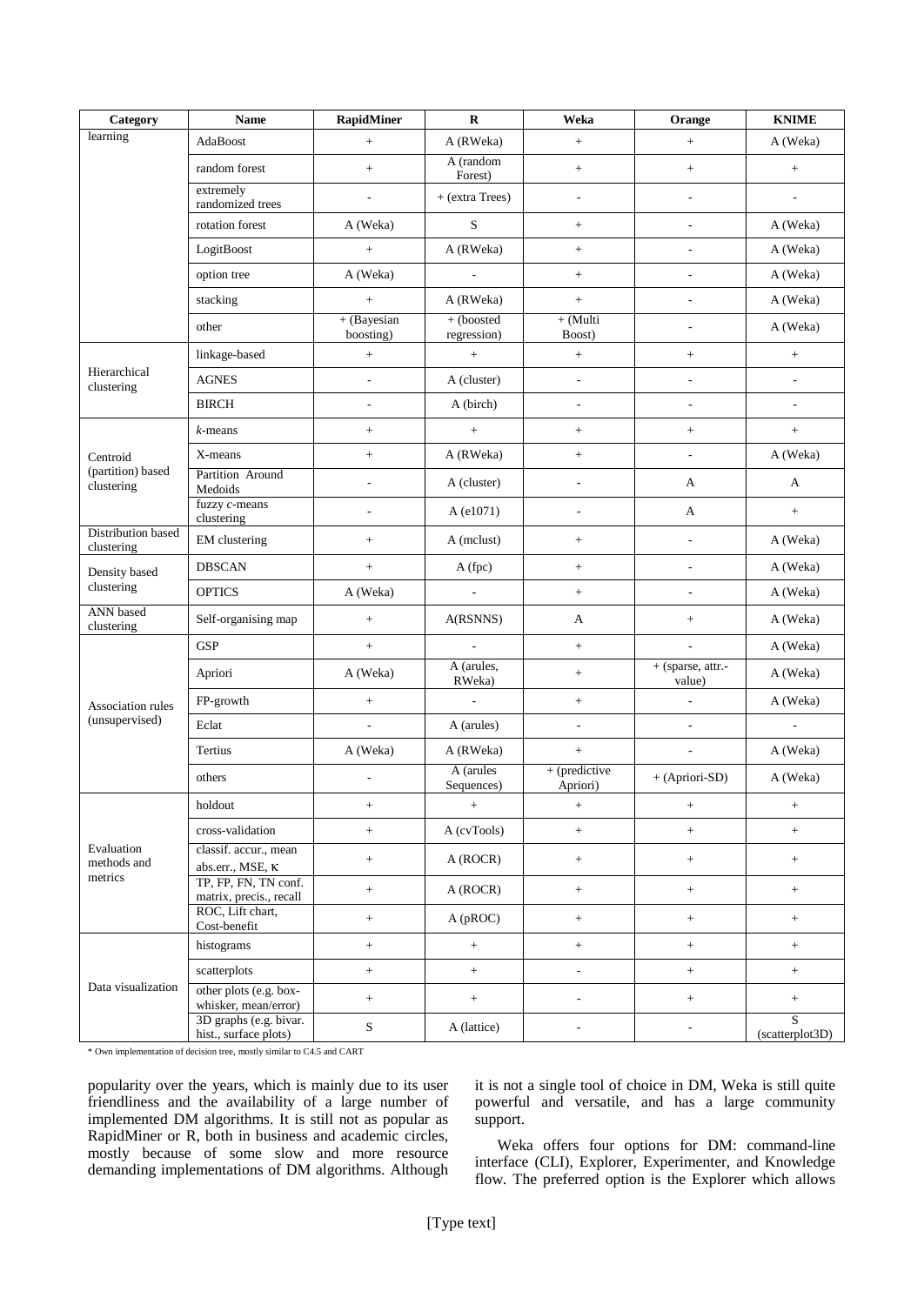| Category                             | <b>Name</b>                                     | <b>RapidMiner</b>          | $\mathbf R$                       | Weka                        | Orange                      | <b>KNIME</b>             |
|--------------------------------------|-------------------------------------------------|----------------------------|-----------------------------------|-----------------------------|-----------------------------|--------------------------|
| learning                             | AdaBoost                                        | $\ddot{}$                  | A (RWeka)                         | $+$                         | $\pm$                       | A (Weka)                 |
|                                      | random forest                                   |                            | $\overline{A}$ (random<br>Forest) | $^+$                        | $\boldsymbol{+}$            | $+$                      |
|                                      | extremely<br>randomized trees                   | $\overline{\phantom{a}}$   | + (extra Trees)                   | $\Box$                      | $\overline{\phantom{a}}$    |                          |
|                                      | rotation forest                                 | A (Weka)                   | ${\bf S}$                         | $\qquad \qquad +$           | $\overline{a}$              | A (Weka)                 |
|                                      | LogitBoost                                      | $\ddot{}$                  | A (RWeka)                         | $^{+}$                      | $\overline{a}$              | A (Weka)                 |
|                                      | option tree                                     | A (Weka)                   | $\overline{\phantom{a}}$          | $+$                         | $\frac{1}{2}$               | A (Weka)                 |
|                                      | stacking                                        | $\! + \!$                  | A (RWeka)                         | $+$                         | $\overline{\phantom{a}}$    | A (Weka)                 |
|                                      | other                                           | $+$ (Bayesian<br>boosting) | $+$ (boosted<br>regression)       | $+$ (Multi<br>Boost)        | $\overline{a}$              | A (Weka)                 |
|                                      | linkage-based                                   | $\! + \!$                  | $^{\mathrm{+}}$                   | $\boldsymbol{+}$            | $\boldsymbol{+}$            | $+$                      |
| Hierarchical<br>clustering           | <b>AGNES</b>                                    | $\overline{\phantom{a}}$   | A (cluster)                       | $\overline{\phantom{a}}$    | $\frac{1}{2}$               | $\overline{\phantom{a}}$ |
|                                      | <b>BIRCH</b>                                    | $\overline{\phantom{a}}$   | A (birch)                         | $\sim$                      | $\overline{a}$              | ÷,                       |
|                                      | $k$ -means                                      |                            | $\boldsymbol{+}$                  | $^+$                        | $\boldsymbol{+}$            | $+$                      |
| Centroid                             | X-means                                         | $^{+}$                     | A (RWeka)                         | $+$                         | $\overline{a}$              | A (Weka)                 |
| (partition) based<br>clustering      | Partition Around<br>Medoids                     | ÷,                         | A (cluster)                       | ÷,                          | A                           | A                        |
|                                      | fuzzy $c$ -means<br>clustering                  | $\overline{\phantom{a}}$   | A (e1071)                         | $\overline{\phantom{a}}$    | A                           | $+$                      |
| Distribution based<br>clustering     | EM clustering                                   |                            | A (mclust)                        | $\qquad \qquad +$           | $\overline{\phantom{a}}$    | A (Weka)                 |
| Density based                        | <b>DBSCAN</b>                                   | $\! +$                     | A (fpc)                           | $+$                         | $\overline{a}$              | A (Weka)                 |
| clustering                           | <b>OPTICS</b>                                   | A (Weka)                   | $\mathcal{L}_{\mathcal{A}}$       | $+$                         |                             | A (Weka)                 |
| ANN based<br>clustering              | Self-organising map                             | $\ddot{}$                  | A(RSNNS)                          | $\mathbf{A}$                | $\boldsymbol{+}$            | A (Weka)                 |
|                                      | <b>GSP</b>                                      | $\! + \!$                  |                                   | $^+$                        |                             | A (Weka)                 |
|                                      | Apriori                                         | A (Weka)                   | A (arules,<br>RWeka)              | $+$                         | + (sparse, attr.-<br>value) | A (Weka)                 |
| Association rules                    | FP-growth                                       | $+$                        | $\overline{\phantom{a}}$          | $+$                         | $\overline{a}$              | A (Weka)                 |
| (unsupervised)                       | Eclat                                           | $\overline{\phantom{a}}$   | A (arules)                        | $\overline{\phantom{a}}$    | $\overline{a}$              | $\overline{a}$           |
|                                      | Tertius                                         | A (Weka)                   | A (RWeka)                         | $+$                         | $\overline{\phantom{a}}$    | A (Weka)                 |
|                                      | others                                          | $\overline{a}$             | A (arules<br>Sequences)           | $+$ (predictive<br>Apriori) | + (Apriori-SD)              | A (Weka)                 |
|                                      | holdout                                         | $^{+}$                     | $+$                               | $+$                         |                             |                          |
|                                      | cross-validation                                | $^{+}$                     | A (cvTools)                       | $^+$                        | $\! +$                      | $+$                      |
| Evaluation<br>methods and<br>metrics | classif. accur., mean<br>abs.err., MSE, K       |                            | A (ROCR)                          | $^{+}$                      | $\boldsymbol{+}$            | $+$                      |
|                                      | TP, FP, FN, TN conf.<br>matrix, precis., recall | $^{+}$                     | A (ROCR)                          | $^{+}$                      | $+$                         | $+$                      |
|                                      | ROC, Lift chart,<br>Cost-benefit                | $^{+}$                     | A (pROC)                          | $\pm$                       | $\boldsymbol{+}$            | $\, +$                   |
|                                      | histograms                                      | $\ddot{}$                  | $\boldsymbol{+}$                  | $\qquad \qquad +$           | $\, +$                      | $+$                      |
|                                      | scatterplots                                    | $^{+}$                     | $\boldsymbol{+}$                  | $\overline{\phantom{a}}$    | $\,+\,$                     | $+$                      |
| Data visualization                   | other plots (e.g. box-<br>whisker, mean/error)  | $\! + \!\!\!\!$            | $\! +$                            | $\overline{\phantom{a}}$    | $+$                         | $+$                      |
|                                      | 3D graphs (e.g. bivar.<br>hist., surface plots) | $\mathbf S$                | A (lattice)                       | $\overline{a}$              |                             | S<br>(scatterplot3D)     |

\* Own implementation of decision tree, mostly similar to C4.5 and CART

popularity over the years, which is mainly due to its user friendliness and the availability of a large number of implemented DM algorithms. It is still not as popular as RapidMiner or R, both in business and academic circles, mostly because of some slow and more resource demanding implementations of DM algorithms. Although it is not a single tool of choice in DM, Weka is still quite powerful and versatile, and has a large community support.

Weka offers four options for DM: command-line interface (CLI), Explorer, Experimenter, and Knowledge flow. The preferred option is the Explorer which allows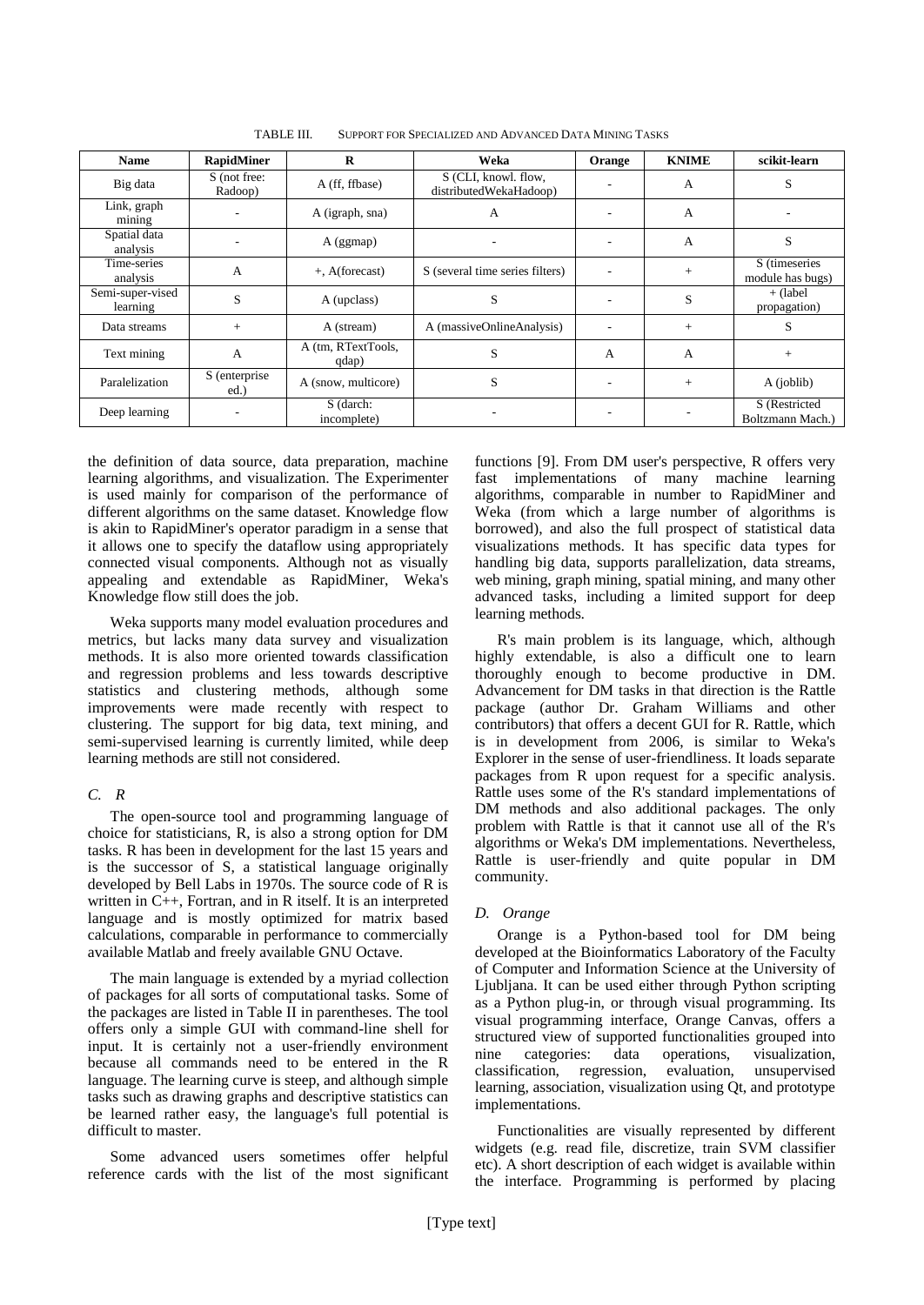| <b>Name</b>                  | <b>RapidMiner</b>       | $\bf{R}$                    | Weka                                           | Orange |     | scikit-learn                      |
|------------------------------|-------------------------|-----------------------------|------------------------------------------------|--------|-----|-----------------------------------|
| Big data                     | S (not free:<br>Radoop) | A (ff, ffbase)              | S (CLI, knowl. flow,<br>distributedWekaHadoop) |        | А   | S                                 |
| Link, graph<br>mining        |                         | A (igraph, sna)             | А                                              |        | A   |                                   |
| Spatial data<br>analysis     |                         | A (ggmap)                   |                                                |        | A   | S                                 |
| Time-series<br>analysis      | А                       | $+$ , A(forecast)           | S (several time series filters)                |        | $+$ | S (timeseries<br>module has bugs) |
| Semi-super-vised<br>learning | S                       | A (upclass)                 | S                                              |        | S   | $+$ (label<br>propagation)        |
| Data streams                 | $+$                     | A (stream)                  | A (massiveOnlineAnalysis)                      |        | $+$ | S                                 |
| Text mining                  | А                       | A (tm, RTextTools,<br>qdap) | S                                              | A      | A   | $+$                               |
| Paralelization               | S (enterprise)<br>ed.)  | A (snow, multicore)         | S                                              |        | $+$ | A (joblib)                        |
| Deep learning                |                         | S (darch:<br>incomplete)    |                                                |        |     | S (Restricted<br>Boltzmann Mach.) |

TABLE III. SUPPORT FOR SPECIALIZED AND ADVANCED DATA MINING TASKS

the definition of data source, data preparation, machine learning algorithms, and visualization. The Experimenter is used mainly for comparison of the performance of different algorithms on the same dataset. Knowledge flow is akin to RapidMiner's operator paradigm in a sense that it allows one to specify the dataflow using appropriately connected visual components. Although not as visually appealing and extendable as RapidMiner, Weka's Knowledge flow still does the job.

Weka supports many model evaluation procedures and metrics, but lacks many data survey and visualization methods. It is also more oriented towards classification and regression problems and less towards descriptive statistics and clustering methods, although some improvements were made recently with respect to clustering. The support for big data, text mining, and semi-supervised learning is currently limited, while deep learning methods are still not considered.

# *C. R*

The open-source tool and programming language of choice for statisticians, R, is also a strong option for DM tasks. R has been in development for the last 15 years and is the successor of S, a statistical language originally developed by Bell Labs in 1970s. The source code of R is written in C++, Fortran, and in R itself. It is an interpreted language and is mostly optimized for matrix based calculations, comparable in performance to commercially available Matlab and freely available GNU Octave.

The main language is extended by a myriad collection of packages for all sorts of computational tasks. Some of the packages are listed in Table II in parentheses. The tool offers only a simple GUI with command-line shell for input. It is certainly not a user-friendly environment because all commands need to be entered in the R language. The learning curve is steep, and although simple tasks such as drawing graphs and descriptive statistics can be learned rather easy, the language's full potential is difficult to master.

Some advanced users sometimes offer helpful reference cards with the list of the most significant functions [9]. From DM user's perspective, R offers very fast implementations of many machine learning algorithms, comparable in number to RapidMiner and Weka (from which a large number of algorithms is borrowed), and also the full prospect of statistical data visualizations methods. It has specific data types for handling big data, supports parallelization, data streams, web mining, graph mining, spatial mining, and many other advanced tasks, including a limited support for deep learning methods.

R's main problem is its language, which, although highly extendable, is also a difficult one to learn thoroughly enough to become productive in DM. Advancement for DM tasks in that direction is the Rattle package (author Dr. Graham Williams and other contributors) that offers a decent GUI for R. Rattle, which is in development from 2006, is similar to Weka's Explorer in the sense of user-friendliness. It loads separate packages from R upon request for a specific analysis. Rattle uses some of the R's standard implementations of DM methods and also additional packages. The only problem with Rattle is that it cannot use all of the R's algorithms or Weka's DM implementations. Nevertheless, Rattle is user-friendly and quite popular in DM community.

## *D. Orange*

Orange is a Python-based tool for DM being developed at the Bioinformatics Laboratory of the Faculty of Computer and Information Science at the University of Ljubljana. It can be used either through Python scripting as a Python plug-in, or through visual programming. Its visual programming interface, Orange Canvas, offers a structured view of supported functionalities grouped into nine categories: data operations, visualization, classification, regression, evaluation, unsupervised learning, association, visualization using Qt, and prototype implementations.

Functionalities are visually represented by different widgets (e.g. read file, discretize, train SVM classifier etc). A short description of each widget is available within the interface. Programming is performed by placing